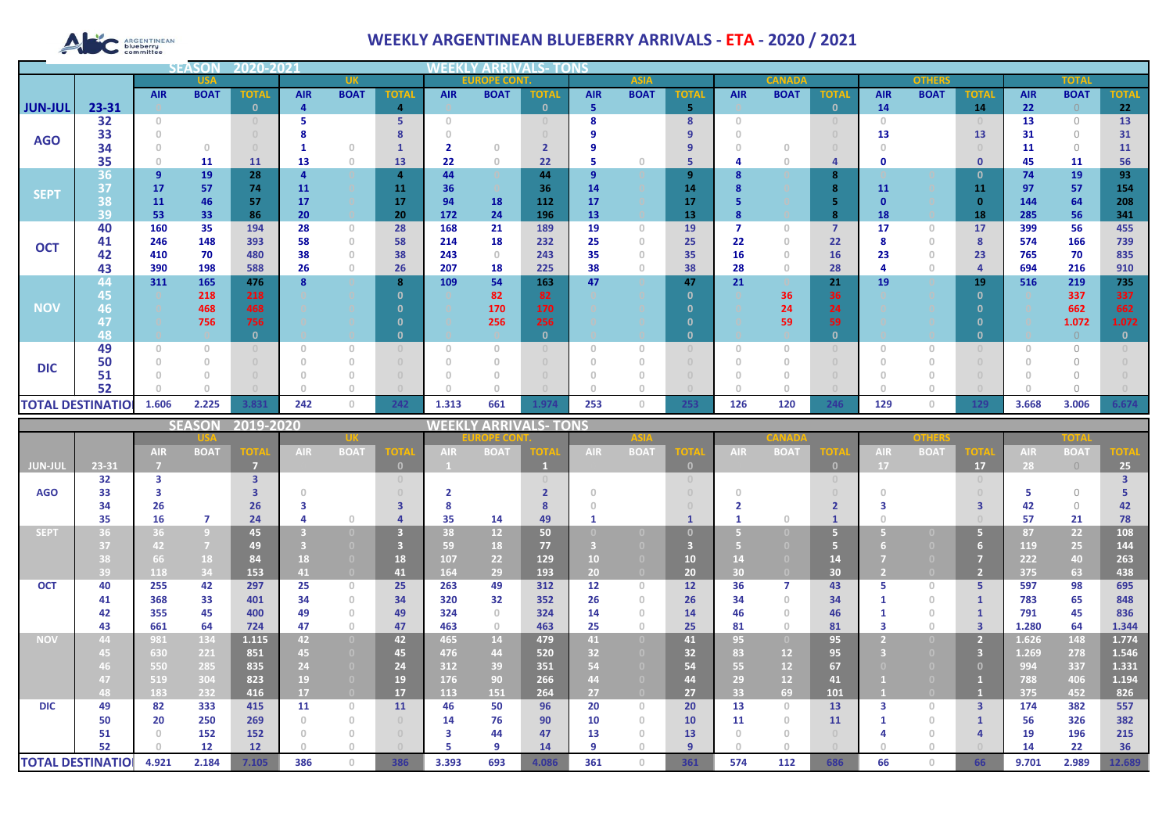# ARGENTINEAN

## **WEEKLY ARGENTINEAN BLUEBERRY ARRIVALS - ETA - 2020 / 2021**

|                |                          |            | <b>SEASOI</b> | 2020-202     |            |                                       |                |                                       |             |              |             |             |              |               |             |                |               |              |              |              |             |              |
|----------------|--------------------------|------------|---------------|--------------|------------|---------------------------------------|----------------|---------------------------------------|-------------|--------------|-------------|-------------|--------------|---------------|-------------|----------------|---------------|--------------|--------------|--------------|-------------|--------------|
|                | <b>USA</b>               |            |               |              | <b>UK</b>  |                                       |                | <b>EUROPE CONT.</b>                   |             |              | <b>ASIA</b> |             |              | <b>CANADA</b> |             |                | <b>OTHERS</b> |              |              | <b>TOTAL</b> |             |              |
|                |                          | <b>AIR</b> | <b>BOAT</b>   | <b>TOTAL</b> | <b>AIR</b> | <b>BOAT</b>                           | <b>TOTAL</b>   | <b>AIR</b>                            | <b>BOAT</b> | <b>TOTAL</b> | <b>AIR</b>  | <b>BOAT</b> | <b>TOTAI</b> | <b>AIR</b>    | <b>BOAT</b> | <b>TOTAL</b>   | <b>AIR</b>    | <b>BOAT</b>  | <b>TOTAL</b> | <b>AIR</b>   | <b>BOAT</b> | <b>TOTAL</b> |
| <b>JUN-JUL</b> | 23-31                    |            |               | n            |            |                                       | 4              |                                       |             | $\mathbf{0}$ | 5           |             | 5            |               |             | $\mathbf{0}$   | 14            |              | 14           | 22           |             | 22           |
|                | 32                       | $\Omega$   |               |              |            |                                       | 5              | $\cap$                                |             |              |             |             | 8            |               |             |                | $\Box$        |              |              | 13           | $\Omega$    | 13           |
| <b>AGO</b>     | 33                       |            |               |              |            |                                       |                |                                       |             |              |             |             |              |               |             |                | 13            |              | 13           | 31           | $\bigcap$   | 31           |
|                | 34                       |            | $\Omega$      |              |            | $\Omega$                              |                |                                       | n           |              |             |             | 9            |               |             |                |               |              |              | 11           | $\Omega$    | 11           |
|                | 35                       |            | 11            | 11           | 13         | $\theta$                              | 13             | 22                                    | $\theta$    | 22           | -5          |             | 5            |               |             | 4              | Ω             |              | $\mathbf 0$  | 45           | 11          | 56           |
| <b>SEPT</b>    | 36                       | 9          | 19            | 28           |            |                                       | $\overline{a}$ | 44                                    |             | 44           | 9           |             | 9            |               |             | 8              |               |              | $\Omega$     | 74           | 19          | 93           |
|                | 37                       | 17         | 57            | 74           | 11         |                                       | 11             | 36                                    |             | 36           | 14          |             | 14           |               |             | 8              | 11            |              | 11           | 97           | 57          | 154          |
|                | 38                       | 11         | 46            | 57           | 17         |                                       | 17             | 94                                    | 18          | 112          | 17          |             | 17           |               |             |                |               |              | $\Omega$     | 144          | 64          | 208          |
|                | 39                       | 53         | 33            | 86           | 20         |                                       | 20             | 172                                   | 24          | 196          | 13          |             | 13           |               |             | 8              | 18            |              | 18           | 285          | 56          | 341          |
|                | 40                       | 160        | 35            | 194          | 28         | $\circ$                               | 28             | 168                                   | 21          | 189          | 19          | $\Omega$    | 19           |               |             | $\overline{7}$ | 17            | $\circ$      | 17           | 399          | 56          | 455          |
| <b>OCT</b>     | 41                       | 246        | 148           | 393          | 58         | $\theta$                              | 58             | 214                                   | 18          | 232          | 25          | n           | 25           | 22            |             | 22             |               | 0            | 8            | 574          | 166         | 739          |
|                | 42                       | 410        | 70            | 480          | 38         | $\begin{array}{c} 0 \\ 0 \end{array}$ | 38             | 243                                   | $\Omega$    | 243          | 35          |             | 35           | 16            |             | 16             | 23            | $\mathbf{0}$ | 23           | 765          | 70          | 835          |
|                | 43                       | 390        | 198           | 588          | 26         | $\theta$                              | 26             | 207                                   | 18          | 225          | 38          |             | 38           | 28            |             | 28             |               | $\circ$      |              | 694          | 216         | 910          |
|                | 44                       | 311        | 165           | 476          |            |                                       | 8              | 109                                   | 54          | 163          | 47          |             | 47           | 21            |             | 21             | 19            |              | 19           | 516          | 219         | 735          |
|                | 45                       |            | 218           | 218          |            |                                       |                |                                       | 82          | 82           |             |             | $\Omega$     |               | 36          | 36             |               |              | $\Omega$     |              | 337         | 337          |
| <b>NOV</b>     | 46                       |            | 468           | 468          |            |                                       |                |                                       | 170         | 170          |             |             |              |               | 24          | 24             |               |              |              |              | 662         | 662          |
|                | 47                       |            | 756           | 756          |            |                                       |                |                                       | 256         | 256          |             |             |              |               | 59          | 59             |               |              |              |              | 1.072       | 1.072        |
|                | 48                       |            |               |              |            |                                       |                |                                       |             | $\mathbf{0}$ |             |             | 0            |               |             | $\mathbf{0}$   |               |              | - 0          |              |             | $\mathbf{0}$ |
|                | 49                       |            |               |              |            | $\Omega$                              |                | $\begin{array}{c} 0 \\ 0 \end{array}$ |             |              | $\Omega$    |             |              |               |             |                |               |              |              |              | $\bigcap$   |              |
| <b>DIC</b>     | 50                       |            |               |              |            | $\Omega$                              |                |                                       |             |              |             |             |              |               |             |                |               |              |              |              |             |              |
|                | 51<br>52                 |            |               |              |            |                                       |                |                                       |             |              |             |             |              |               |             |                |               |              |              |              |             |              |
|                |                          |            |               |              |            |                                       |                |                                       |             |              |             |             |              |               |             |                |               |              |              |              |             |              |
|                | <b>TOTAL DESTINATIOL</b> | 1.606      | 2.225         | 3.831        | 242        | $\mathbf{0}$                          | 242            | 1.313                                 | 661         | 1.974        | 253         | $\circ$     | 253          | 126           | 120         | 246            | 129           | $\circ$      | 129          | 3.668        | 3.006       | 6.674        |

|                |                          |            | <b>SEASON</b>  | 2019-2020         |                 |                                       |              | WEEKI      |                 | LY ARRIVALS- TONS |            |                                  |              |                 |                 |                                  |            |             |                |            |             |             |
|----------------|--------------------------|------------|----------------|-------------------|-----------------|---------------------------------------|--------------|------------|-----------------|-------------------|------------|----------------------------------|--------------|-----------------|-----------------|----------------------------------|------------|-------------|----------------|------------|-------------|-------------|
|                |                          |            |                |                   |                 |                                       |              |            | <b>OPE COI</b>  |                   |            | <b>ASIA</b>                      |              |                 |                 |                                  |            | other       |                |            | TOTA        |             |
|                |                          | <b>AIR</b> | <b>BOAT</b>    | <b>TOTA</b>       | AIR.            | <b>BOAT</b>                           | <b>TOTA</b>  | <b>AIR</b> | <b>BOAT</b>     | OTA               | <b>AIR</b> | <b>BOAT</b>                      | ют           | <b>AIR</b>      | <b>BOA</b>      | <b>TOTA</b>                      | <b>AIR</b> | <b>BOAT</b> | OTA            | <b>AIR</b> | <b>BOAT</b> | <b>TOTA</b> |
| <b>JUN-JUL</b> | 23-31                    |            |                | -7                |                 |                                       | $\mathbf{0}$ |            |                 |                   |            |                                  | $\Box$       |                 |                 | $\mathbf{0}$                     | 17         |             | 17             | 28         | $\bigcirc$  | 25          |
|                | 32                       | з          |                | 3                 |                 |                                       | $\circ$      |            |                 |                   |            |                                  |              |                 |                 | $\begin{array}{c} 0 \end{array}$ |            |             | $\Omega$       |            |             |             |
| <b>AGO</b>     | 33                       |            |                |                   |                 |                                       |              |            |                 |                   |            |                                  |              |                 |                 |                                  |            |             |                |            | $\bigcap$   |             |
|                | 34                       | 26         |                | 26                |                 |                                       |              |            |                 |                   |            |                                  |              |                 |                 |                                  |            |             |                | 42         | $\Omega$    | 42          |
|                | 35                       | 16         | $\overline{7}$ | 24                |                 | $\Box$                                |              | 35         | 14              | 49                |            |                                  |              |                 |                 |                                  |            |             |                | 57         | 21          | 78          |
| <b>SEPT</b>    | 36                       | 36         | $\overline{9}$ | 45                |                 | $\Box$                                |              | 38         | 12 <sup>2</sup> | 50                |            |                                  |              |                 |                 |                                  |            |             | 67             | 87         | 22          | 108         |
|                | 37                       | 42         | $\overline{7}$ | 49                |                 |                                       |              | 59         | 18              | 77                |            |                                  |              |                 |                 |                                  |            |             |                | 119        | 25          | 144         |
|                | 38                       | 66         | 18             | 84                | 18              | $\Box$                                | 18           | 107        | 22              | 129               | 10         | (0)                              | 10           |                 |                 | 14                               |            |             |                | 222        | 40          | 263         |
|                | 39                       | 118        | 34             | 153               | 41 <sup>1</sup> | $\overline{0}$                        | 41           | 164        | 29              | 193               | 20         | $\Box$                           | 20           | 30 <sup>°</sup> |                 | 30 <sub>2</sub>                  |            |             | $\overline{2}$ | 375        | 63          | 438         |
| <b>OCT</b>     | 40                       | 255        | 42             | 297               | 25              | $\circ$                               | 25           | 263        | 49              | 312               | 12         | $\begin{array}{c} 0 \end{array}$ | 12           | 36              |                 | 43                               |            | $\Box$      | 5.             | 597        | 98          | 695         |
|                | 41                       | 368        | 33             | 401               | 34              | $\begin{array}{c} 0 \\ 0 \end{array}$ | 34           | 320        | 32              | 352               | 26         | $\Omega$                         | 26           | 34              | $\cap$          | 34                               |            | $\Omega$    |                | 783        | 65          | 848         |
|                | 42                       | 355        | 45             | 400               | 49              | $\Omega$                              | 49           | 324        | $\Omega$        | 324               | 14         |                                  | 14           | 46              |                 | 46                               |            | $\cup$      |                | 791        | 45          | 836         |
|                | 43                       | 661        | 64             | 724               | 47              | $\mathbf{0}$                          | 47           | 463        | $\Omega$        | 463               | 25         | $\cap$                           | 25           | 81              | $\cap$          | 81                               |            | $\cup$      | $\overline{3}$ | 1.280      | 64          | 1.344       |
| <b>NOV</b>     | 44                       | 981        | 134            | 1.115             | 42              | $\overline{0}$                        | 42           | 465        | 14              | 479               | 41         | $\overline{0}$                   | 41           | 95              | $\Box$          | 95                               |            |             | $\overline{2}$ | 1.626      | 148         | 1.774       |
|                | 45                       | 630        | 221            | 851               | 45              | $\overline{0}$                        | 45           | 476        | 44              | 520               | 32         |                                  | 32           | 83              | 12 <sup>2</sup> | 95                               |            |             | 3              | 1.269      | 278         | 1.546       |
|                | 46                       | 550        | 285            | 835               | 24              | $\Omega$                              | 24           | 312        | 39              | 351               | 54         |                                  | 54           | 55              | 12              | 67                               |            |             | $\Omega$       | 994        | 337         | 1.331       |
|                | 47                       | 519        | 304            | 823               | 19              | $\Omega$                              | 19           | 176        | 90              | 266               | 44         |                                  | 44           | 29              | 12              | 41                               |            |             |                | 788        | 406         | 1.194       |
|                | 48                       | 183        | 232            | 416               | 17              | $\overline{0}$                        | 17           | 113        | 151             | 264               | 27         | $\Box$                           | 27           | 33              | 69              | 101                              |            |             |                | 375        | 452         | 826         |
| <b>DIC</b>     | 49                       | 82         | 333            | 415               | 11              | $\circ$                               | 11           | 46         | 50              | 96                | 20         | $\begin{array}{c} 0 \end{array}$ | 20           | 13              | $\Omega$        | 13                               |            | $\Box$      | $\overline{3}$ | 174        | 382         | 557         |
|                | 50                       | 20         | 250            | 269               |                 | $\begin{array}{c} 0 \\ 0 \end{array}$ | $\cup$       | 14         | 76              | 90                | 10         | $\Box$                           | 10           | 11              |                 | 11                               |            | $\cup$      |                | 56         | 326         | 382         |
|                | 51                       |            | 152            | 152               |                 | $\begin{array}{c} 0 \\ 0 \end{array}$ | $\cap$       | з          | 44              | 47                | 13         |                                  | 13           |                 |                 | $\Omega$                         |            |             |                | 19         | 196         | 215         |
|                | 52                       |            | 12             | $12 \overline{ }$ |                 | $\cap$                                |              |            | q               | 14                | 9          |                                  | $\mathbf{q}$ |                 |                 |                                  |            |             |                | 14         | 22          | 36          |
|                | <b>TOTAL DESTINATIOI</b> | 4.921      | 2.184          | 7.105             | 386             | $\Omega$                              | 386          | 3.393      | 693             | 4.086             | 361        | $\Box$                           | 361          | 574             | 112             | 686                              | 66         |             | 66             | 9.701      | 2.989       | 12.689      |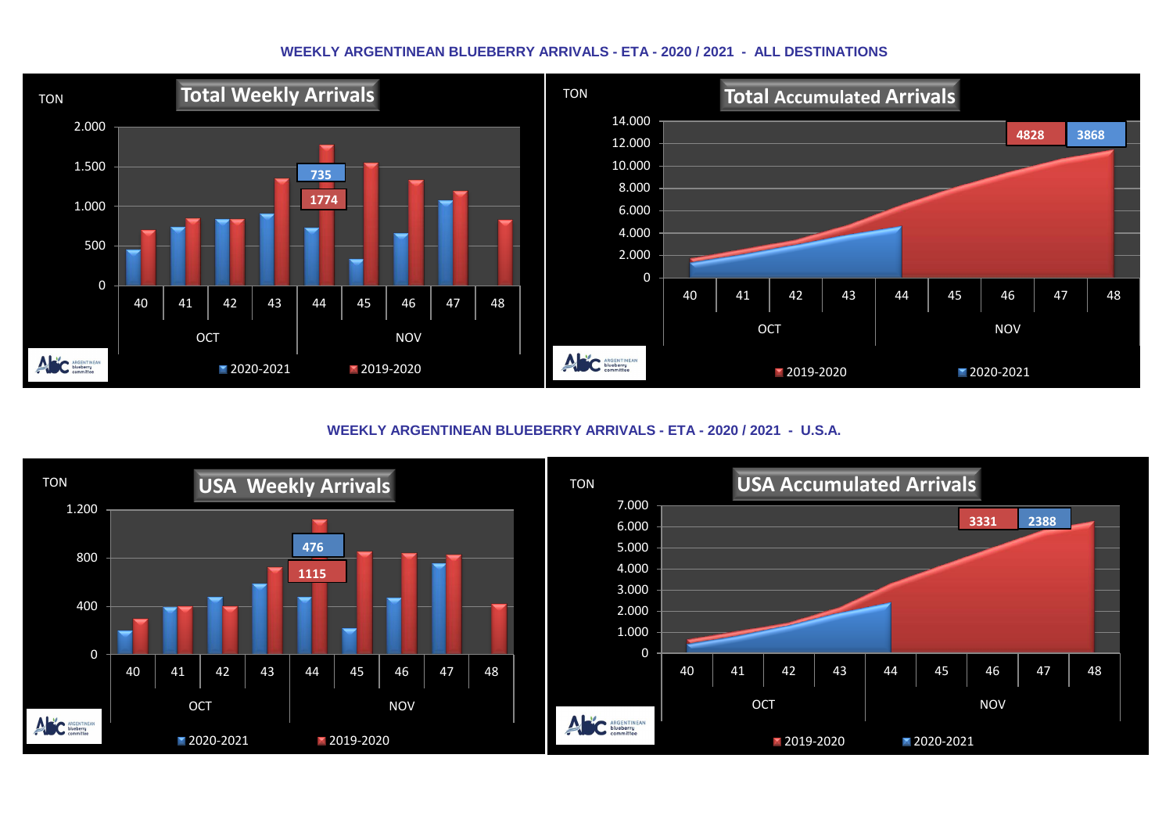#### **WEEKLY ARGENTINEAN BLUEBERRY ARRIVALS - ETA - 2020 / 2021 - ALL DESTINATIONS**



**WEEKLY ARGENTINEAN BLUEBERRY ARRIVALS - ETA - 2020 / 2021 - U.S.A.**

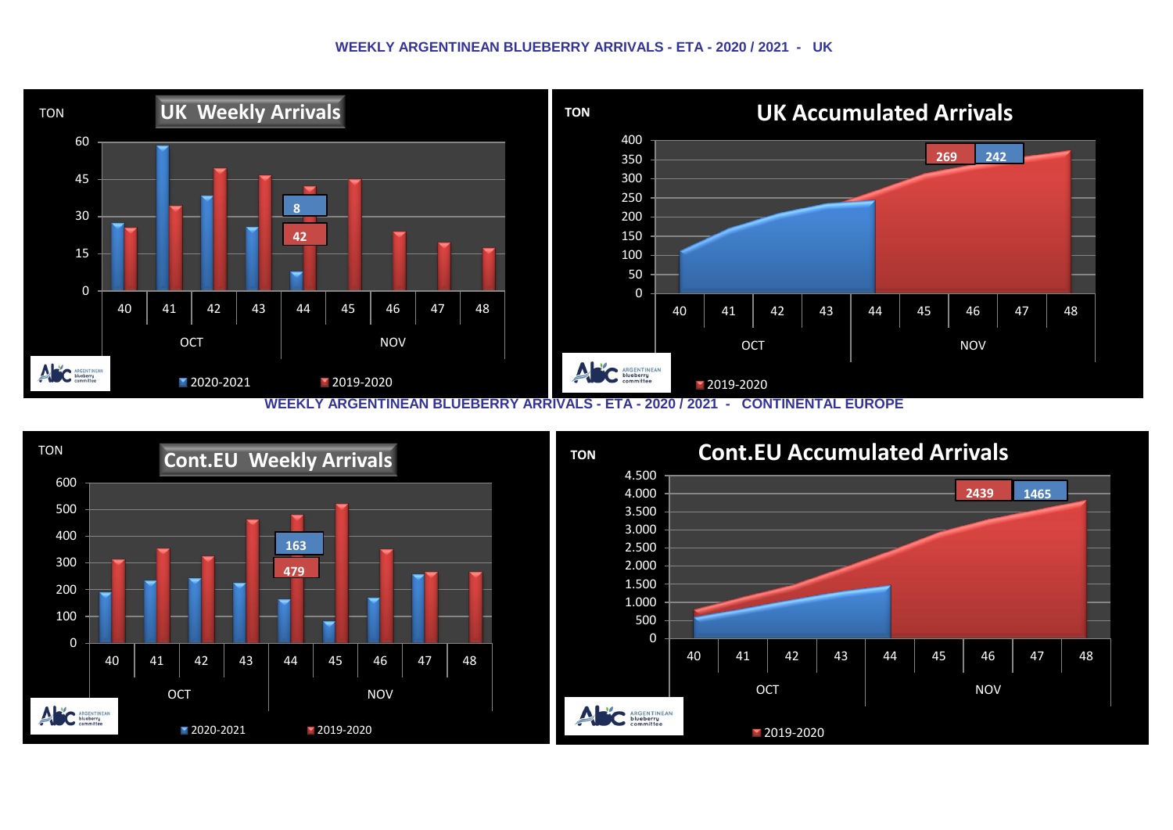#### **WEEKLY ARGENTINEAN BLUEBERRY ARRIVALS - ETA - 2020 / 2021 - UK**